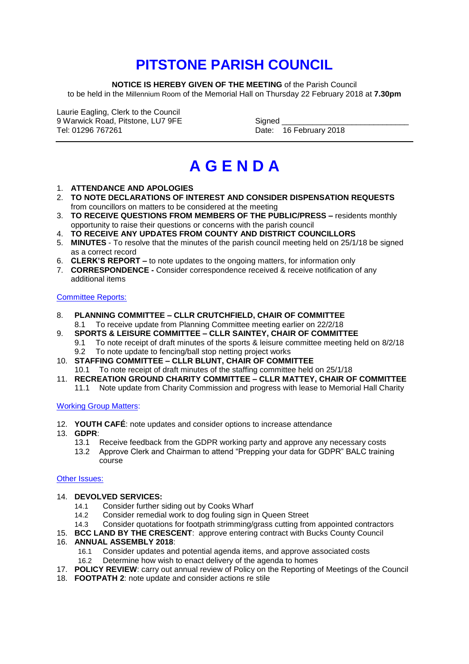## **PITSTONE PARISH COUNCIL**

**NOTICE IS HEREBY GIVEN OF THE MEETING** of the Parish Council to be held in the Millennium Room of the Memorial Hall on Thursday 22 February 2018 at **7.30pm**

Laurie Eagling, Clerk to the Council 9 Warwick Road, Pitstone, LU7 9FE Signed Signed Signed Signed Signed Signed Signed Signed Structure Structure

Date: 16 February 2018

# **A G E N D A**

- 1. **ATTENDANCE AND APOLOGIES**
- 2. **TO NOTE DECLARATIONS OF INTEREST AND CONSIDER DISPENSATION REQUESTS**  from councillors on matters to be considered at the meeting
- 3. **TO RECEIVE QUESTIONS FROM MEMBERS OF THE PUBLIC/PRESS –** residents monthly opportunity to raise their questions or concerns with the parish council
- 4. **TO RECEIVE ANY UPDATES FROM COUNTY AND DISTRICT COUNCILLORS**
- 5. **MINUTES** To resolve that the minutes of the parish council meeting held on 25/1/18 be signed as a correct record
- 6. **CLERK'S REPORT –** to note updates to the ongoing matters, for information only
- 7. **CORRESPONDENCE -** Consider correspondence received & receive notification of any additional items

#### Committee Reports:

- 8. **PLANNING COMMITTEE – CLLR CRUTCHFIELD, CHAIR OF COMMITTEE**
	- 8.1 To receive update from Planning Committee meeting earlier on 22/2/18
- 9. **SPORTS & LEISURE COMMITTEE – CLLR SAINTEY, CHAIR OF COMMITTEE**
	- 9.1 To note receipt of draft minutes of the sports & leisure committee meeting held on 8/2/18
	- 9.2 To note update to fencing/ball stop netting project works
- 10. **STAFFING COMMITTEE – CLLR BLUNT, CHAIR OF COMMITTEE**
- 10.1 To note receipt of draft minutes of the staffing committee held on 25/1/18
- 11. **RECREATION GROUND CHARITY COMMITTEE – CLLR MATTEY, CHAIR OF COMMITTEE**
	- 11.1 Note update from Charity Commission and progress with lease to Memorial Hall Charity

#### Working Group Matters:

- 12. **YOUTH CAFÉ**: note updates and consider options to increase attendance
- 13. **GDPR**:
	- 13.1 Receive feedback from the GDPR working party and approve any necessary costs
	- 13.2 Approve Clerk and Chairman to attend "Prepping your data for GDPR" BALC training course

#### Other Issues:

#### 14. **DEVOLVED SERVICES:**

- 14.1 Consider further siding out by Cooks Wharf
- 14.2 Consider remedial work to dog fouling sign in Queen Street
- 14.3 Consider quotations for footpath strimming/grass cutting from appointed contractors
- 15. **BCC LAND BY THE CRESCENT**: approve entering contract with Bucks County Council

#### 16. **ANNUAL ASSEMBLY 2018**:

- 16.1 Consider updates and potential agenda items, and approve associated costs
	- 16.2 Determine how wish to enact delivery of the agenda to homes
- 17. **POLICY REVIEW**: carry out annual review of Policy on the Reporting of Meetings of the Council
- 18. **FOOTPATH 2**: note update and consider actions re stile